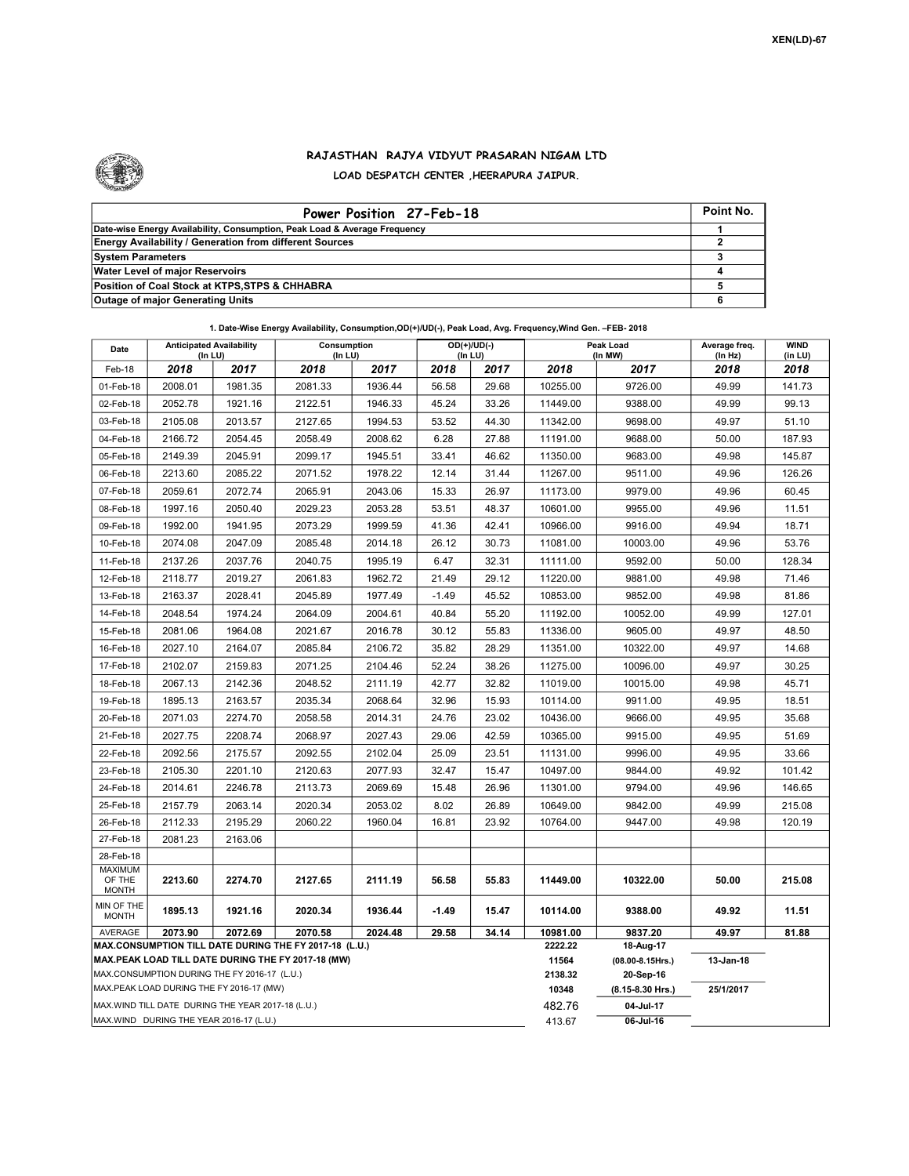

## RAJASTHAN RAJYA VIDYUT PRASARAN NIGAM LTD LOAD DESPATCH CENTER ,HEERAPURA JAIPUR.

| Power Position 27-Feb-18                                                  | Point No. |
|---------------------------------------------------------------------------|-----------|
| Date-wise Energy Availability, Consumption, Peak Load & Average Frequency |           |
| <b>Energy Availability / Generation from different Sources</b>            |           |
| <b>System Parameters</b>                                                  |           |
| <b>Water Level of major Reservoirs</b>                                    |           |
| Position of Coal Stock at KTPS, STPS & CHHABRA                            |           |
| <b>Outage of major Generating Units</b>                                   |           |

| Date                                                                                                                                                                      | <b>Anticipated Availability</b><br>(In LU) |         | Consumption<br>(In LU) |         |         | $OD(+)/UD(-)$<br>(In LU) |                                    | Peak Load<br>(In MW) |                 | <b>WIND</b><br>(in LU) |
|---------------------------------------------------------------------------------------------------------------------------------------------------------------------------|--------------------------------------------|---------|------------------------|---------|---------|--------------------------|------------------------------------|----------------------|-----------------|------------------------|
| Feb-18                                                                                                                                                                    | 2018                                       | 2017    | 2018                   | 2017    | 2018    | 2017                     | 2018                               | 2017                 | (In Hz)<br>2018 | 2018                   |
| 01-Feb-18                                                                                                                                                                 | 2008.01                                    | 1981.35 | 2081.33                | 1936.44 | 56.58   | 29.68                    | 10255.00                           | 9726.00              | 49.99           | 141.73                 |
| 02-Feb-18                                                                                                                                                                 | 2052.78                                    | 1921.16 | 2122.51                | 1946.33 | 45.24   | 33.26                    | 11449.00                           | 9388.00              | 49.99           | 99.13                  |
| 03-Feb-18                                                                                                                                                                 | 2105.08                                    | 2013.57 | 2127.65                | 1994.53 | 53.52   | 44.30                    | 11342.00                           | 9698.00              | 49.97           | 51.10                  |
| 04-Feb-18                                                                                                                                                                 | 2166.72                                    | 2054.45 | 2058.49                | 2008.62 | 6.28    | 27.88                    | 11191.00                           | 9688.00              | 50.00           | 187.93                 |
| 05-Feb-18                                                                                                                                                                 | 2149.39                                    | 2045.91 | 2099.17                | 1945.51 | 33.41   | 46.62                    | 11350.00                           | 9683.00              | 49.98           | 145.87                 |
| 06-Feb-18                                                                                                                                                                 | 2213.60                                    | 2085.22 | 2071.52                | 1978.22 | 12.14   | 31.44                    | 11267.00                           | 9511.00              | 49.96           | 126.26                 |
| 07-Feb-18                                                                                                                                                                 | 2059.61                                    | 2072.74 | 2065.91                | 2043.06 | 15.33   | 26.97                    | 11173.00                           | 9979.00              | 49.96           | 60.45                  |
| 08-Feb-18                                                                                                                                                                 | 1997.16                                    | 2050.40 | 2029.23                | 2053.28 | 53.51   | 48.37                    | 10601.00                           | 9955.00              | 49.96           | 11.51                  |
| 09-Feb-18                                                                                                                                                                 | 1992.00                                    | 1941.95 | 2073.29                | 1999.59 | 41.36   | 42.41                    | 10966.00                           | 9916.00              | 49.94           | 18.71                  |
| 10-Feb-18                                                                                                                                                                 | 2074.08                                    | 2047.09 | 2085.48                | 2014.18 | 26.12   | 30.73                    | 11081.00                           | 10003.00             | 49.96           | 53.76                  |
| 11-Feb-18                                                                                                                                                                 | 2137.26                                    | 2037.76 | 2040.75                | 1995.19 | 6.47    | 32.31                    | 11111.00                           | 9592.00              | 50.00           | 128.34                 |
| 12-Feb-18                                                                                                                                                                 | 2118.77                                    | 2019.27 | 2061.83                | 1962.72 | 21.49   | 29.12                    | 11220.00                           | 9881.00              | 49.98           | 71.46                  |
| 13-Feb-18                                                                                                                                                                 | 2163.37                                    | 2028.41 | 2045.89                | 1977.49 | $-1.49$ | 45.52                    | 10853.00                           | 9852.00              | 49.98           | 81.86                  |
| 14-Feb-18                                                                                                                                                                 | 2048.54                                    | 1974.24 | 2064.09                | 2004.61 | 40.84   | 55.20                    | 11192.00                           | 10052.00             | 49.99           | 127.01                 |
| 15-Feb-18                                                                                                                                                                 | 2081.06                                    | 1964.08 | 2021.67                | 2016.78 | 30.12   | 55.83                    | 11336.00                           | 9605.00              | 49.97           | 48.50                  |
| 16-Feb-18                                                                                                                                                                 | 2027.10                                    | 2164.07 | 2085.84                | 2106.72 | 35.82   | 28.29                    | 11351.00                           | 10322.00             | 49.97           | 14.68                  |
| 17-Feb-18                                                                                                                                                                 | 2102.07                                    | 2159.83 | 2071.25                | 2104.46 | 52.24   | 38.26                    | 11275.00                           | 10096.00             | 49.97           | 30.25                  |
| 18-Feb-18                                                                                                                                                                 | 2067.13                                    | 2142.36 | 2048.52                | 2111.19 | 42.77   | 32.82                    | 11019.00                           | 10015.00             | 49.98           | 45.71                  |
| 19-Feb-18                                                                                                                                                                 | 1895.13                                    | 2163.57 | 2035.34                | 2068.64 | 32.96   | 15.93                    | 10114.00                           | 9911.00              | 49.95           | 18.51                  |
| 20-Feb-18                                                                                                                                                                 | 2071.03                                    | 2274.70 | 2058.58                | 2014.31 | 24.76   | 23.02                    | 10436.00                           | 9666.00              | 49.95           | 35.68                  |
| 21-Feb-18                                                                                                                                                                 | 2027.75                                    | 2208.74 | 2068.97                | 2027.43 | 29.06   | 42.59                    | 10365.00                           | 9915.00              | 49.95           | 51.69                  |
| 22-Feb-18                                                                                                                                                                 | 2092.56                                    | 2175.57 | 2092.55                | 2102.04 | 25.09   | 23.51                    | 11131.00                           | 9996.00              | 49.95           | 33.66                  |
| 23-Feb-18                                                                                                                                                                 | 2105.30                                    | 2201.10 | 2120.63                | 2077.93 | 32.47   | 15.47                    | 10497.00                           | 9844.00              | 49.92           | 101.42                 |
| 24-Feb-18                                                                                                                                                                 | 2014.61                                    | 2246.78 | 2113.73                | 2069.69 | 15.48   | 26.96                    | 11301.00                           | 9794.00              | 49.96           | 146.65                 |
| 25-Feb-18                                                                                                                                                                 | 2157.79                                    | 2063.14 | 2020.34                | 2053.02 | 8.02    | 26.89                    | 10649.00                           | 9842.00              | 49.99           | 215.08                 |
| 26-Feb-18                                                                                                                                                                 | 2112.33                                    | 2195.29 | 2060.22                | 1960.04 | 16.81   | 23.92                    | 10764.00                           | 9447.00              | 49.98           | 120.19                 |
| 27-Feb-18                                                                                                                                                                 | 2081.23                                    | 2163.06 |                        |         |         |                          |                                    |                      |                 |                        |
| 28-Feb-18                                                                                                                                                                 |                                            |         |                        |         |         |                          |                                    |                      |                 |                        |
| OF THE<br><b>MONTH</b>                                                                                                                                                    | 2213.60                                    | 2274.70 | 2127.65                | 2111.19 | 56.58   | 55.83                    | 11449.00                           | 10322.00             | 50.00           | 215.08                 |
| MIN OF THE<br><b>MONTH</b>                                                                                                                                                | 1895.13                                    | 1921.16 | 2020.34                | 1936.44 | $-1.49$ | 15.47                    | 10114.00                           | 9388.00              | 49.92           | 11.51                  |
| AVERAGE                                                                                                                                                                   | 2073.90                                    | 2072.69 | 2070.58                | 2024.48 | 29.58   | 34.14                    | 10981.00                           | 9837.20              | 49.97           | 81.88                  |
|                                                                                                                                                                           |                                            |         |                        |         |         |                          | 2222.22<br>11564                   | 18-Aug-17            |                 |                        |
| MAX.CONSUMPTION DURING THE FY 2016-17 (L.U.)                                                                                                                              |                                            |         |                        |         |         | 2138.32                  | $(08.00 - 8.15$ Hrs.)<br>20-Sep-16 | 13-Jan-18            |                 |                        |
| MAX.PEAK LOAD DURING THE FY 2016-17 (MW)                                                                                                                                  |                                            |         |                        |         |         | 10348                    | (8.15-8.30 Hrs.)                   | 25/1/2017            |                 |                        |
| MAX. WIND TILL DATE DURING THE YEAR 2017-18 (L.U.)                                                                                                                        |                                            |         |                        |         |         | 482.76                   | 04-Jul-17                          |                      |                 |                        |
| <b>MAXIMUM</b><br>MAX.CONSUMPTION TILL DATE DURING THE FY 2017-18 (L.U.)<br>MAX.PEAK LOAD TILL DATE DURING THE FY 2017-18 (MW)<br>MAX.WIND DURING THE YEAR 2016-17 (L.U.) |                                            |         |                        |         |         |                          | 413.67                             | 06-Jul-16            |                 |                        |

1. Date-Wise Energy Availability, Consumption,OD(+)/UD(-), Peak Load, Avg. Frequency,Wind Gen. –FEB- 2018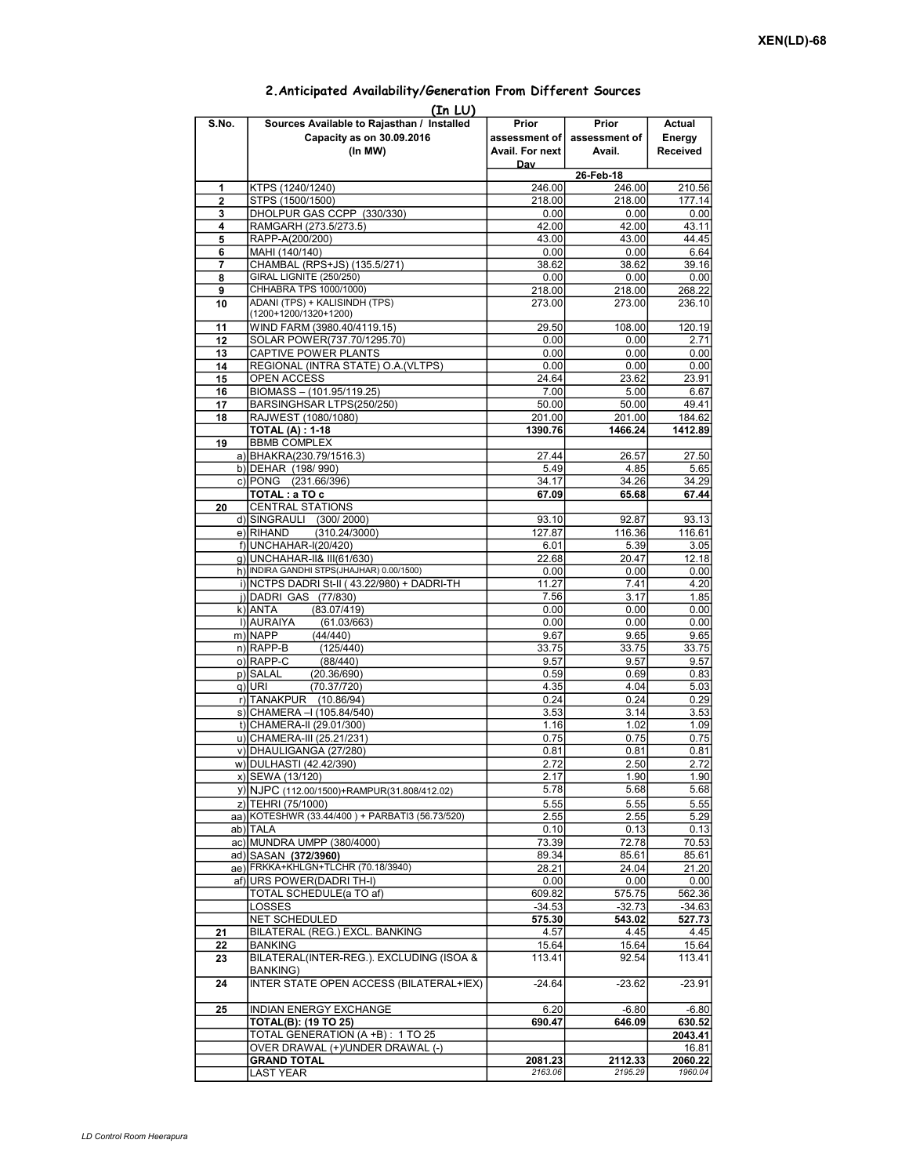|                | (In LU)                                                                            |                                             |                                  |                              |
|----------------|------------------------------------------------------------------------------------|---------------------------------------------|----------------------------------|------------------------------|
| S.No.          | Sources Available to Rajasthan / Installed<br>Capacity as on 30.09.2016<br>(In MW) | Prior<br>assessment of l<br>Avail. For next | Prior<br>assessment of<br>Avail. | Actual<br>Energy<br>Received |
|                |                                                                                    | Dav                                         |                                  |                              |
|                |                                                                                    |                                             | 26-Feb-18                        |                              |
| 1              | KTPS (1240/1240)                                                                   | 246.00                                      | 246.00                           | 210.56                       |
| $\overline{2}$ | STPS (1500/1500)                                                                   | 218.00                                      | 218.00                           | 177.14                       |
| 3              | DHOLPUR GAS CCPP (330/330)                                                         | 0.00                                        | 0.00                             | 0.00                         |
| 4              | RAMGARH (273.5/273.5)                                                              | 42.00                                       | 42.00                            | 43.11                        |
| 5              | RAPP-A(200/200)                                                                    | 43.00                                       | 43.00                            | 44.45                        |
| 6              | MAHI (140/140)                                                                     | 0.00                                        | 0.00                             | 6.64                         |
| 7              | CHAMBAL (RPS+JS) (135.5/271)<br><b>GIRAL LIGNITE (250/250)</b>                     | 38.62                                       | 38.62                            | 39.16                        |
| 8<br>9         | CHHABRA TPS 1000/1000)                                                             | 0.00<br>218.00                              | 0.00<br>218.00                   | 0.00<br>268.22               |
| 10             | ADANI (TPS) + KALISINDH (TPS)                                                      | 273.00                                      | 273.00                           | 236.10                       |
|                | (1200+1200/1320+1200)                                                              |                                             |                                  |                              |
| 11             | WIND FARM (3980.40/4119.15)                                                        | 29.50                                       | 108.00                           | 120.19                       |
| 12             | SOLAR POWER(737.70/1295.70)                                                        | 0.00                                        | 0.00                             | 2.71                         |
| 13             | CAPTIVE POWER PLANTS                                                               | 0.00                                        | 0.00                             | 0.00                         |
| 14             | REGIONAL (INTRA STATE) O.A. (VLTPS)                                                | 0.00                                        | 0.00                             | 0.00                         |
| 15             | OPEN ACCESS                                                                        | 24.64                                       | 23.62                            | 23.91                        |
| 16             | BIOMASS - (101.95/119.25)                                                          | 7.00                                        | 5.00                             | 6.67                         |
| 17<br>18       | BARSINGHSAR LTPS(250/250)<br>RAJWEST (1080/1080)                                   | 50.00<br>201.00                             | 50.00                            | 49.41                        |
|                | <b>TOTAL (A): 1-18</b>                                                             | 1390.76                                     | 201.00<br>1466.24                | 184.62<br>1412.89            |
| 19             | <b>BBMB COMPLEX</b>                                                                |                                             |                                  |                              |
|                | a) BHAKRA(230.79/1516.3)                                                           | 27.44                                       | 26.57                            | 27.50                        |
|                | b) DEHAR (198/990)                                                                 | 5.49                                        | 4.85                             | 5.65                         |
|                | c) PONG (231.66/396)                                                               | 34.17                                       | 34.26                            | 34.29                        |
|                | TOTAL: a TO c                                                                      | 67.09                                       | 65.68                            | 67.44                        |
| 20             | <b>CENTRAL STATIONS</b>                                                            |                                             |                                  |                              |
|                | d) SINGRAULI (300/2000)                                                            | 93.10                                       | 92.87                            | 93.13                        |
|                | e)RIHAND<br>(310.24/3000)                                                          | 127.87                                      | 116.36                           | 116.61                       |
|                | f) UNCHAHAR-I(20/420)<br>q) UNCHAHAR-II& III(61/630)                               | 6.01<br>22.68                               | 5.39<br>20.47                    | 3.05<br>12.18                |
|                | h) INDIRA GANDHI STPS(JHAJHAR) 0.00/1500)                                          | 0.00                                        | 0.00                             | 0.00                         |
|                | i) NCTPS DADRI St-II (43.22/980) + DADRI-TH                                        | 11.27                                       | 7.41                             | 4.20                         |
|                | j) DADRI GAS (77/830)                                                              | 7.56                                        | 3.17                             | 1.85                         |
|                | k) ANTA<br>(83.07/419)                                                             | 0.00                                        | 0.00                             | 0.00                         |
|                | I) AURAIYA<br>(61.03/663)                                                          | 0.00                                        | 0.00                             | 0.00                         |
|                | m) NAPP<br>(44/440)                                                                | 9.67                                        | 9.65                             | 9.65                         |
|                | $n)$ RAPP-B<br>(125/440)                                                           | 33.75                                       | 33.75                            | 33.75                        |
|                | o) RAPP-C<br>(88/440)                                                              | 9.57                                        | 9.57                             | 9.57                         |
|                | p) SALAL<br>(20.36/690)<br>$q)$ URI<br>(70.37/720)                                 | 0.59<br>4.35                                | 0.69<br>4.04                     | 0.83<br>5.03                 |
|                | r) TANAKPUR (10.86/94)                                                             | 0.24                                        | 0.24                             | 0.29                         |
|                | s) CHAMERA - (105.84/540)                                                          | 3.53                                        | 3.14                             | 3.53                         |
|                | t) CHAMERA-II (29.01/300)                                                          | 1.16                                        | 1.02                             | 1.09                         |
|                | u) CHAMERA-III (25.21/231)                                                         | 0.75                                        | 0.75                             | 0.75                         |
|                | v) DHAULIGANGA (27/280)                                                            | 0.81                                        | 0.81                             | 0.81                         |
|                | w) DULHASTI (42.42/390)                                                            | 2.72                                        | 2.50                             | 2.72                         |
|                | x) SEWA (13/120)                                                                   | 2.17                                        | 1.90                             | 1.90                         |
|                | y) NJPC (112.00/1500) + RAMPUR(31.808/412.02)                                      | 5.78                                        | 5.68                             | 5.68                         |
|                | z) TEHRI (75/1000)                                                                 | 5.55                                        | 5.55                             | 5.55                         |
|                | aa) KOTESHWR (33.44/400) + PARBATI3 (56.73/520)                                    | 2.55                                        | 2.55                             | 5.29                         |
|                | ab) TALA<br>ac) MUNDRA UMPP (380/4000)                                             | 0.10<br>73.39                               | 0.13<br>72.78                    | 0.13<br>70.53                |
|                | ad) SASAN (372/3960)                                                               | 89.34                                       | 85.61                            | 85.61                        |
|                | ae) FRKKA+KHLGN+TLCHR (70.18/3940)                                                 | 28.21                                       | 24.04                            | 21.20                        |
|                | af) URS POWER (DADRI TH-I)                                                         | 0.00                                        | 0.00                             | 0.00                         |
|                | <b>TOTAL SCHEDULE(a TO af)</b>                                                     | 609.82                                      | 575.75                           | 562.36                       |
|                | LOSSES                                                                             | $-34.53$                                    | $-32.73$                         | $-34.63$                     |
|                | <b>NET SCHEDULED</b>                                                               | 575.30                                      | 543.02                           | 527.73                       |
| 21             | BILATERAL (REG.) EXCL. BANKING                                                     | 4.57                                        | 4.45                             | 4.45                         |
| 22             | <b>BANKING</b><br>BILATERAL(INTER-REG.). EXCLUDING (ISOA &                         | 15.64                                       | 15.64<br>92.54                   | 15.64                        |
| 23             | <b>BANKING)</b>                                                                    | 113.41                                      |                                  | 113.41                       |
| 24             | INTER STATE OPEN ACCESS (BILATERAL+IEX)                                            | $-24.64$                                    | $-23.62$                         | $-23.91$                     |
| 25             | <b>INDIAN ENERGY EXCHANGE</b>                                                      | 6.20                                        | $-6.80$                          | $-6.80$                      |
|                | <b>TOTAL(B): (19 TO 25)</b>                                                        | 690.47                                      | 646.09                           | 630.52                       |
|                | TOTAL GENERATION (A +B): 1 TO 25                                                   |                                             |                                  | 2043.41                      |
|                | OVER DRAWAL (+)/UNDER DRAWAL (-)                                                   |                                             |                                  | 16.81                        |
|                | <b>GRAND TOTAL</b>                                                                 | 2081.23<br>2163.06                          | 2112.33<br>2195.29               | 2060.22<br>1960.04           |
|                | LAST YEAR                                                                          |                                             |                                  |                              |

## 2.Anticipated Availability/Generation From Different Sources  $\sim$   $\sim$